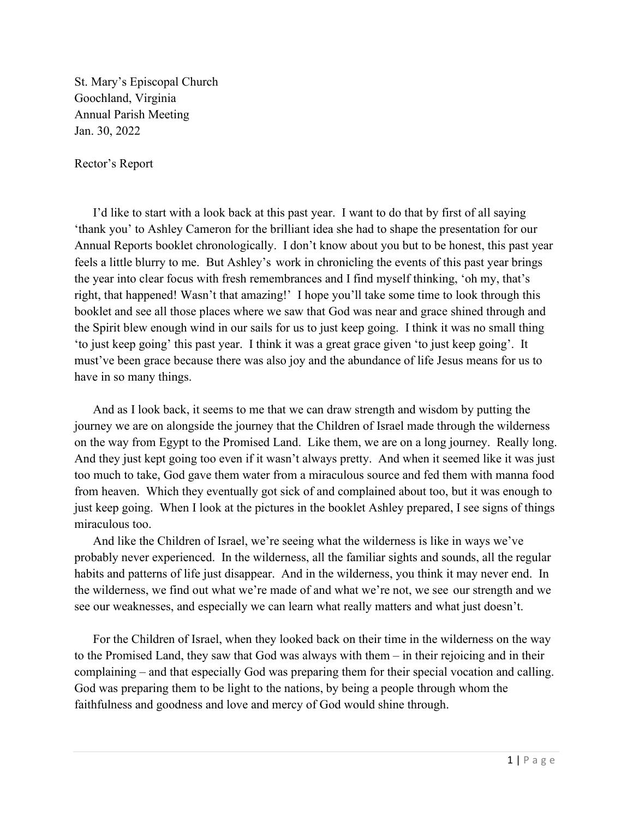St. Mary's Episcopal Church Goochland, Virginia Annual Parish Meeting Jan. 30, 2022

Rector's Report

I'd like to start with a look back at this past year. I want to do that by first of all saying 'thank you' to Ashley Cameron for the brilliant idea she had to shape the presentation for our Annual Reports booklet chronologically. I don't know about you but to be honest, this past year feels a little blurry to me. But Ashley's work in chronicling the events of this past year brings the year into clear focus with fresh remembrances and I find myself thinking, 'oh my, that's right, that happened! Wasn't that amazing!' I hope you'll take some time to look through this booklet and see all those places where we saw that God was near and grace shined through and the Spirit blew enough wind in our sails for us to just keep going. I think it was no small thing 'to just keep going' this past year. I think it was a great grace given 'to just keep going'. It must've been grace because there was also joy and the abundance of life Jesus means for us to have in so many things.

And as I look back, it seems to me that we can draw strength and wisdom by putting the journey we are on alongside the journey that the Children of Israel made through the wilderness on the way from Egypt to the Promised Land. Like them, we are on a long journey. Really long. And they just kept going too even if it wasn't always pretty. And when it seemed like it was just too much to take, God gave them water from a miraculous source and fed them with manna food from heaven. Which they eventually got sick of and complained about too, but it was enough to just keep going. When I look at the pictures in the booklet Ashley prepared, I see signs of things miraculous too.

And like the Children of Israel, we're seeing what the wilderness is like in ways we've probably never experienced. In the wilderness, all the familiar sights and sounds, all the regular habits and patterns of life just disappear. And in the wilderness, you think it may never end. In the wilderness, we find out what we're made of and what we're not, we see our strength and we see our weaknesses, and especially we can learn what really matters and what just doesn't.

For the Children of Israel, when they looked back on their time in the wilderness on the way to the Promised Land, they saw that God was always with them – in their rejoicing and in their complaining – and that especially God was preparing them for their special vocation and calling. God was preparing them to be light to the nations, by being a people through whom the faithfulness and goodness and love and mercy of God would shine through.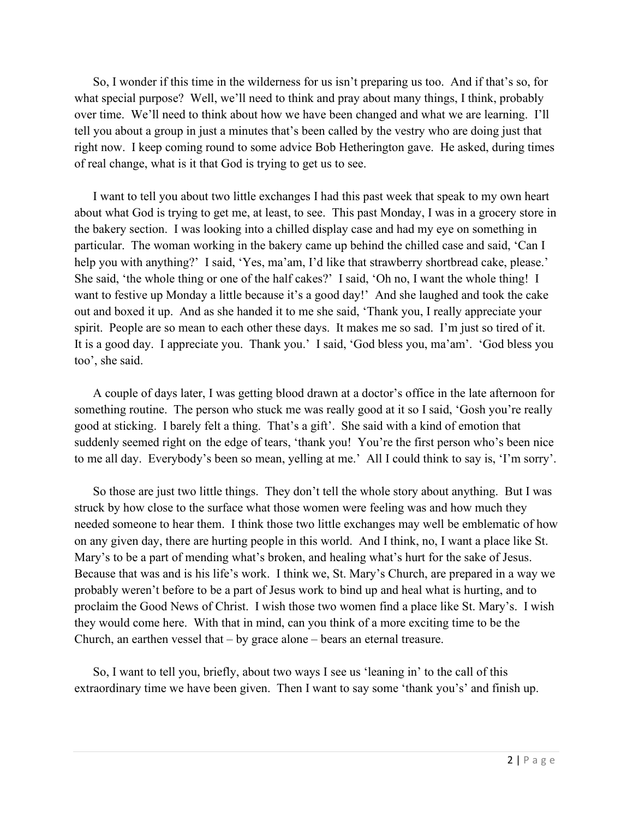So, I wonder if this time in the wilderness for us isn't preparing us too. And if that's so, for what special purpose? Well, we'll need to think and pray about many things, I think, probably over time. We'll need to think about how we have been changed and what we are learning. I'll tell you about a group in just a minutes that's been called by the vestry who are doing just that right now. I keep coming round to some advice Bob Hetherington gave. He asked, during times of real change, what is it that God is trying to get us to see.

I want to tell you about two little exchanges I had this past week that speak to my own heart about what God is trying to get me, at least, to see. This past Monday, I was in a grocery store in the bakery section. I was looking into a chilled display case and had my eye on something in particular. The woman working in the bakery came up behind the chilled case and said, 'Can I help you with anything?' I said, 'Yes, ma'am, I'd like that strawberry shortbread cake, please.' She said, 'the whole thing or one of the half cakes?' I said, 'Oh no, I want the whole thing! I want to festive up Monday a little because it's a good day!' And she laughed and took the cake out and boxed it up. And as she handed it to me she said, 'Thank you, I really appreciate your spirit. People are so mean to each other these days. It makes me so sad. I'm just so tired of it. It is a good day. I appreciate you. Thank you.' I said, 'God bless you, ma'am'. 'God bless you too', she said.

A couple of days later, I was getting blood drawn at a doctor's office in the late afternoon for something routine. The person who stuck me was really good at it so I said, 'Gosh you're really good at sticking. I barely felt a thing. That's a gift'. She said with a kind of emotion that suddenly seemed right on the edge of tears, 'thank you! You're the first person who's been nice to me all day. Everybody's been so mean, yelling at me.' All I could think to say is, 'I'm sorry'.

So those are just two little things. They don't tell the whole story about anything. But I was struck by how close to the surface what those women were feeling was and how much they needed someone to hear them. I think those two little exchanges may well be emblematic of how on any given day, there are hurting people in this world. And I think, no, I want a place like St. Mary's to be a part of mending what's broken, and healing what's hurt for the sake of Jesus. Because that was and is his life's work. I think we, St. Mary's Church, are prepared in a way we probably weren't before to be a part of Jesus work to bind up and heal what is hurting, and to proclaim the Good News of Christ. I wish those two women find a place like St. Mary's. I wish they would come here. With that in mind, can you think of a more exciting time to be the Church, an earthen vessel that – by grace alone – bears an eternal treasure.

So, I want to tell you, briefly, about two ways I see us 'leaning in' to the call of this extraordinary time we have been given. Then I want to say some 'thank you's' and finish up.